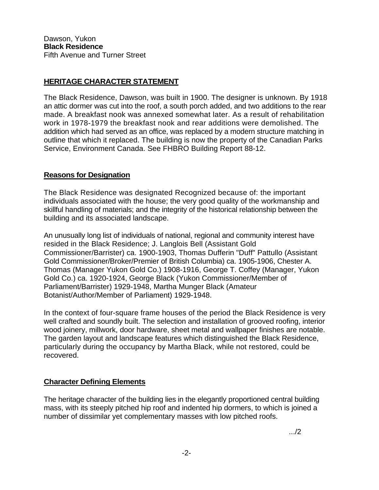## **HERITAGE CHARACTER STATEMENT**

The Black Residence, Dawson, was built in 1900. The designer is unknown. By 1918 an attic dormer was cut into the roof, a south porch added, and two additions to the rear made. A breakfast nook was annexed somewhat later. As a result of rehabilitation work in 1978-1979 the breakfast nook and rear additions were demolished. The addition which had served as an office, was replaced by a modern structure matching in outline that which it replaced. The building is now the property of the Canadian Parks Service, Environment Canada. See FHBRO Building Report 88-12.

## **Reasons for Designation**

The Black Residence was designated Recognized because of: the important individuals associated with the house; the very good quality of the workmanship and skillful handling of materials; and the integrity of the historical relationship between the building and its associated landscape.

An unusually long list of individuals of national, regional and community interest have resided in the Black Residence; J. Langlois Bell (Assistant Gold Commissioner/Barrister) ca. 1900-1903, Thomas Dufferin "Duff" Pattullo (Assistant Gold Commissioner/Broker/Premier of British Columbia) ca. 1905-1906, Chester A. Thomas (Manager Yukon Gold Co.) 1908-1916, George T. Coffey (Manager, Yukon Gold Co.) ca. 1920-1924, George Black (Yukon Commissioner/Member of Parliament/Barrister) 1929-1948, Martha Munger Black (Amateur Botanist/Author/Member of Parliament) 1929-1948.

In the context of four-square frame houses of the period the Black Residence is very well crafted and soundly built. The selection and installation of grooved roofing, interior wood joinery, millwork, door hardware, sheet metal and wallpaper finishes are notable. The garden layout and landscape features which distinguished the Black Residence, particularly during the occupancy by Martha Black, while not restored, could be recovered.

## **Character Defining Elements**

The heritage character of the building lies in the elegantly proportioned central building mass, with its steeply pitched hip roof and indented hip dormers, to which is joined a number of dissimilar yet complementary masses with low pitched roofs.

.../2